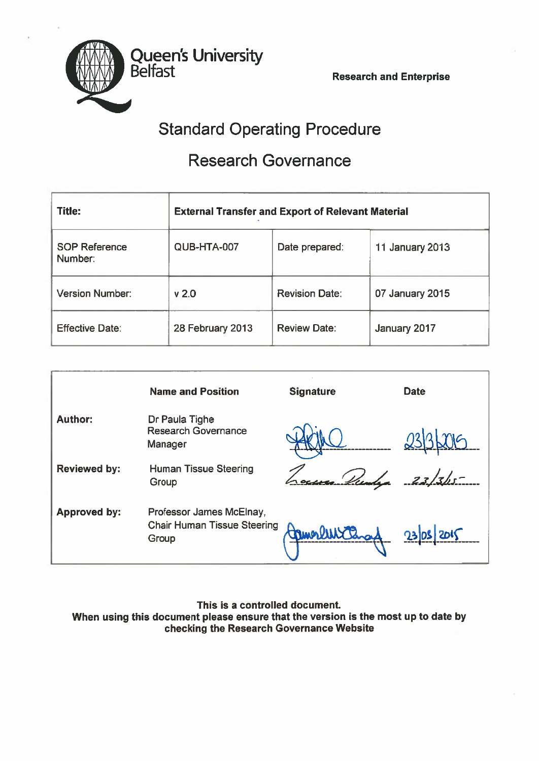Belfast Research and Enterprise



Queen's University

# Research Governance

| <b>Title:</b>                   | <b>External Transfer and Export of Relevant Material</b> |                       |                        |  |
|---------------------------------|----------------------------------------------------------|-----------------------|------------------------|--|
| <b>SOP Reference</b><br>Number: | QUB-HTA-007                                              | Date prepared:        | <b>11 January 2013</b> |  |
| <b>Version Number:</b>          | V <sub>2.0</sub>                                         | <b>Revision Date:</b> | 07 January 2015        |  |
| <b>Effective Date:</b>          | 28 February 2013                                         | <b>Review Date:</b>   | January 2017           |  |

|                     | <b>Name and Position</b>                                                | <b>Signature</b> | <b>Date</b> |
|---------------------|-------------------------------------------------------------------------|------------------|-------------|
| <b>Author:</b>      | Dr Paula Tighe<br><b>Research Governance</b><br>Manager                 |                  |             |
| <b>Reviewed by:</b> | <b>Human Tissue Steering</b><br>Group                                   |                  | $-23/34$    |
| <b>Approved by:</b> | Professor James McElnay,<br><b>Chair Human Tissue Steering</b><br>Group |                  | 23/05/2015  |

This is <sup>a</sup> controlled document When using this document please ensure that the version is the most up to date by checking the Research Governance Website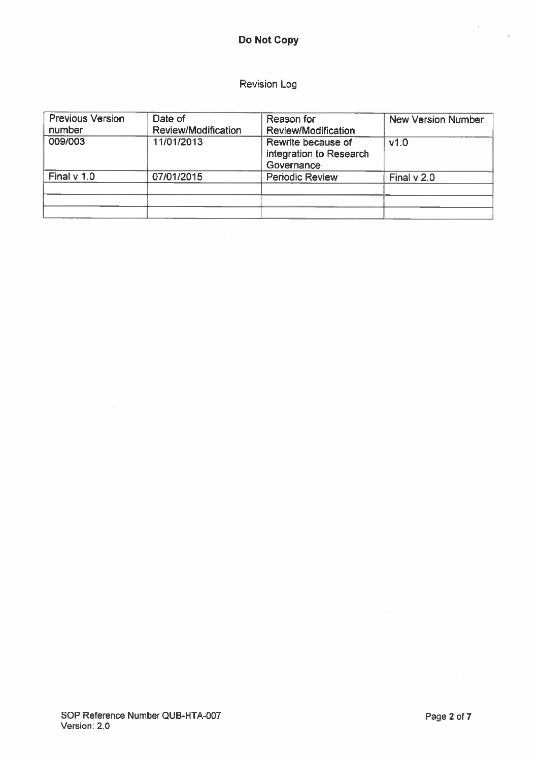# Do Not Copy

# Revision Log

| <b>Previous Version</b><br>number | Date of<br>Review/Modification | Reason for<br>Review/Modification                           | <b>New Version Number</b> |
|-----------------------------------|--------------------------------|-------------------------------------------------------------|---------------------------|
| 009/003                           | 11/01/2013                     | Rewrite because of<br>integration to Research<br>Governance | v1.0                      |
| Final v 1.0                       | 07/01/2015                     | <b>Periodic Review</b>                                      | Final v 2.0               |
|                                   |                                |                                                             |                           |

 $\overline{\phantom{a}}$ 

 $\frac{1}{2}$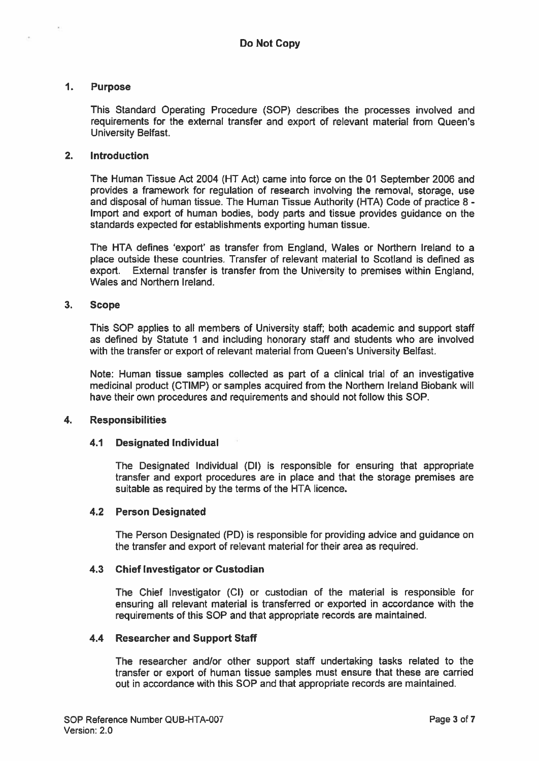#### 1. Purpose

This Standard Operating Procedure (SOP) describes the processes involved and requirements for the external transfer and expor<sup>t</sup> of relevant material from Queen's University Belfast.

# 2. Introduction

The Human Tissue Act 2004 (HT Act) came into force on the 01 September 2006 and provides <sup>a</sup> framework for regulation of research involving the removal, storage, use and disposal of human tissue. The Human Tissue Authority (HTA) Code of practice 8 - Import and expor<sup>t</sup> of human bodies, body parts and tissue provides guidance on the standards expected for establishments exporting human tissue.

The HTA defines 'export' as transfer from England, Wales or Northern Ireland to <sup>a</sup> place outside these countries. Transfer of relevant material to Scotland is defined as export. External transfer is transfer from the University to premises within England, Wales and Northern Ireland.

#### 3. Scope

This SOP applies to all members of University staff; both academic and suppor<sup>t</sup> staff as defined by Statute 1 and including honorary staff and students who are involved with the transfer or expor<sup>t</sup> of relevant material from Queen's University Belfast.

Note: Human tissue samples collected as par<sup>t</sup> of <sup>a</sup> clinical trial of an investigative medicinal product (CTIMP) or samples acquired from the Northern Ireland Biobank will have their own procedures and requirements and should not follow this SOP.

#### 4. Responsibilities

#### 4.1 Designated Individual

The Designated Individual (Dl) is responsible for ensuring that appropriate transfer and expor<sup>t</sup> procedures are in place and that the storage premises are suitable as required by the terms of the HTA licence.

#### 4.2 Person Designated

The Person Designated (PD) is responsible for providing advice and guidance on the transfer and expor<sup>t</sup> of relevant material for their area as required.

#### 4.3 Chief Investigator or Custodian

The Chief Investigator (CI) or custodian of the material is responsible for ensuring all relevant material is transferred or exported in accordance with the requirements of this SOP and that appropriate records are maintained.

#### 4.4 Researcher and Support Staff

The researcher and/or other suppor<sup>t</sup> staff undertaking tasks related to the transfer or expor<sup>t</sup> of human tissue samples must ensure that these are carried out in accordance with this SOP and that appropriate records are maintained.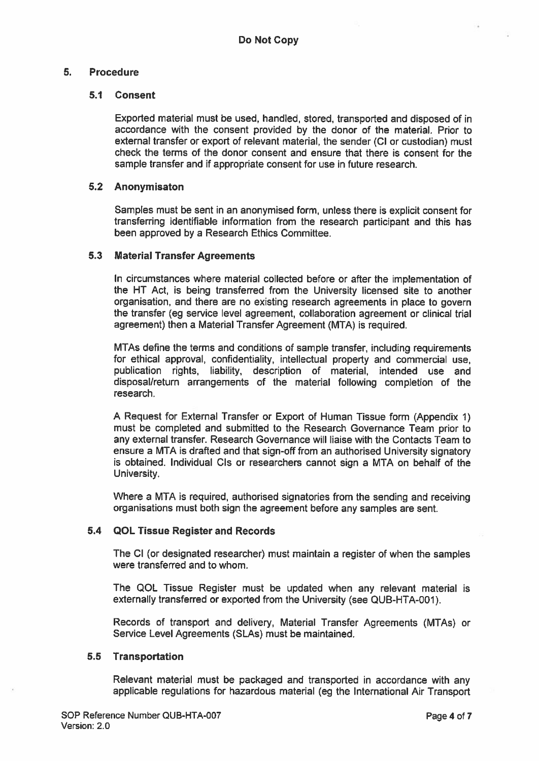# 5. Procedure

#### 5.1 Consent

Exported material must be used, handled, stored, transported and disposed of in accordance with the consent provided by the donor of the material. Prior to external transfer or expor<sup>t</sup> of relevant material, the sender (Cl or custodian) must check the terms of the donor consent and ensure that there is consent for the sample transfer and if appropriate consent for use in future research.

#### 5.2 Anonymisaton

Samples must be sent in an anonymised form, unless there is explicit consent for transferring identifiable information from the research participant and this has been approved by <sup>a</sup> Research Ethics Committee.

#### 5.3 Material Transfer Agreements

In circumstances where material collected before or after the implementation of the NT Act, is being transferred from the University licensed site to another organisation, and there are no existing research agreements in <sup>p</sup>lace to govern the transfer (eg service level agreement, collaboration agreemen<sup>t</sup> or clinical trial agreement) then <sup>a</sup> Material Transfer Agreement (MTA) is required.

MTAs define the terms and conditions of sample transfer, including requirements for ethical approval, confidentiality, intellectual property and commercial use, publication rights, liability, description of material, intended use and disposal/return arrangements of the material following completion of the research.

<sup>A</sup> Request for External Transfer or Export of Human Tissue form (Appendix 1) must be completed and submitted to the Research Governance Team prior to any external transfer. Research Governance will liaise with the Contacts Team to ensure a MTA is drafted and that sign-off from an authorised University signatory is obtained. Individual CIs or researchers cannot sign <sup>a</sup> MTA on behalf of the University.

Where <sup>a</sup> MTA is required, authorised signatories from the sending and receiving organisations must both sign the agreemen<sup>t</sup> before any samples are sent.

# 5.4 QOL Tissue Register and Records

The Cl (or designated researcher) must maintain <sup>a</sup> register of when the samples were transferred and to whom.

The QOL Tissue Register must be updated when any relevant material is externally transferred or exported from the University (see QUB-HTA-OO1).

Records of transport and delivery, Material Transfer Agreements (MTAs) or Service Level Agreements (SLA5) must be maintained.

#### 5.5 Transportation

Relevant material must be packaged and transported in accordance with any applicable regulations for hazardous material (eg the International Air Transport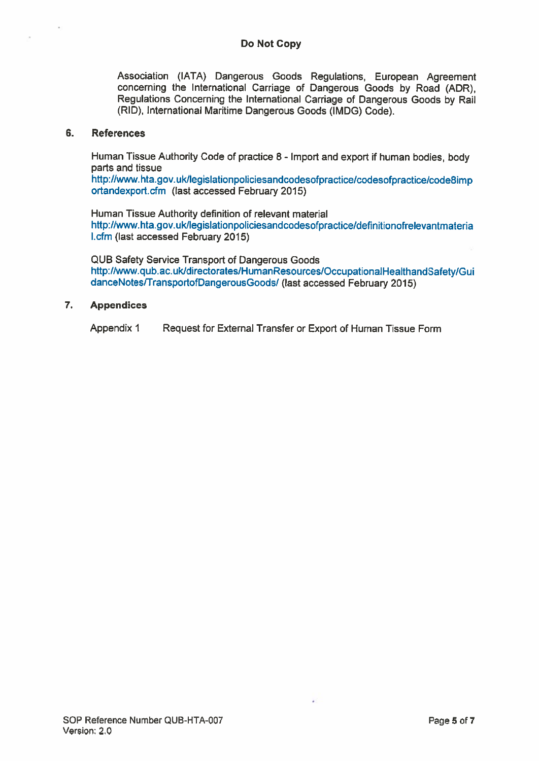Association (IATA) Dangerous Goods Regulations, European Agreement concerning the International Carriage of Dangerous Goods by Road (ADR), Regulations Concerning the International Carriage of Dangerous Goods by Rail (RID), International Maritime Dangerous Goods (IMDG) Code).

#### 6. References

Human Tissue Authority Code of practice 8- Import and expor<sup>t</sup> if human bodies, body parts and tissue

http://www.hta.gov.ukllegislationpoliciesandcodesofpractice/codesofpractice/codesimp ortandexpod.cfm (last accessed February 2015)

Human Tissue Authority definition of relevant material hftp://www.hta.gov.ukllegislationpoliciesandcodesofpractice/deflnitionofrelevantmateria I.cfm (last accessed February 2015)

QUB Safety Service Transport of Dangerous Goods http://www.qub.ac.uk/directorates/HumanResources/OccupationalHealthandSafety/Gui danceNotes/TransportofDangerousGoods/ (last accessed February 2015)

# 7. Appendices

Appendix 1 Request for External Transfer or Export of Human Tissue Form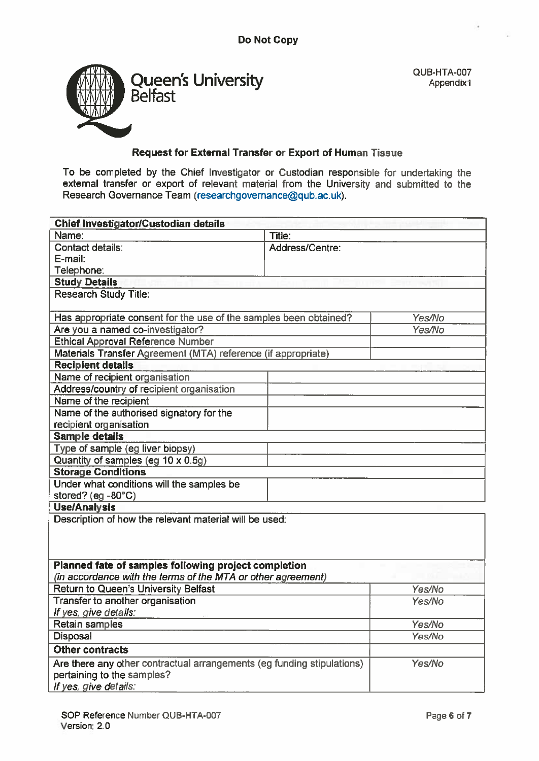

QUB-HTA-007 Appendix1

# Request for External Transfer or Export of Human Tissue

To be completed by the Chief Investigator or Custodian responsible for undertaking the external transfer or expor<sup>t</sup> of relevant material from the University and submitted to the Research Governance Team (researchgovernance@qub.ac.uk).

| Chief Investigator/Custodian details                                   |                 |        |  |  |  |
|------------------------------------------------------------------------|-----------------|--------|--|--|--|
| Name:                                                                  | Title:          |        |  |  |  |
| Contact details:                                                       | Address/Centre: |        |  |  |  |
| E-mail:                                                                |                 |        |  |  |  |
| Telephone:                                                             |                 |        |  |  |  |
| <b>Study Details</b>                                                   |                 |        |  |  |  |
| <b>Research Study Title:</b>                                           |                 |        |  |  |  |
| Has appropriate consent for the use of the samples been obtained?      |                 | Yes/No |  |  |  |
| Are you a named co-investigator?                                       |                 |        |  |  |  |
| <b>Ethical Approval Reference Number</b>                               |                 |        |  |  |  |
| Materials Transfer Agreement (MTA) reference (if appropriate)          |                 |        |  |  |  |
| <b>Recipient details</b>                                               |                 |        |  |  |  |
| Name of recipient organisation                                         |                 |        |  |  |  |
| Address/country of recipient organisation                              |                 |        |  |  |  |
| Name of the recipient                                                  |                 |        |  |  |  |
| Name of the authorised signatory for the                               |                 |        |  |  |  |
| recipient organisation                                                 |                 |        |  |  |  |
| <b>Sample details</b>                                                  |                 |        |  |  |  |
| Type of sample (eg liver biopsy)                                       |                 |        |  |  |  |
| Quantity of samples (eg 10 x 0.5g)                                     |                 |        |  |  |  |
| <b>Storage Conditions</b>                                              |                 |        |  |  |  |
| Under what conditions will the samples be                              |                 |        |  |  |  |
| stored? (eg -80°C)                                                     |                 |        |  |  |  |
| <b>Use/Analysis</b>                                                    |                 |        |  |  |  |
| Description of how the relevant material will be used:                 |                 |        |  |  |  |
|                                                                        |                 |        |  |  |  |
|                                                                        |                 |        |  |  |  |
| Planned fate of samples following project completion                   |                 |        |  |  |  |
| (in accordance with the terms of the MTA or other agreement)           |                 |        |  |  |  |
| Return to Queen's University Belfast                                   |                 | Yes/No |  |  |  |
| Transfer to another organisation                                       |                 | Yes/No |  |  |  |
| If yes, give details:                                                  |                 |        |  |  |  |
| Retain samples                                                         |                 | Yes/No |  |  |  |
| <b>Disposal</b>                                                        |                 | Yes/No |  |  |  |
| <b>Other contracts</b>                                                 |                 |        |  |  |  |
| Are there any other contractual arrangements (eg funding stipulations) |                 | Yes/No |  |  |  |
| pertaining to the samples?                                             |                 |        |  |  |  |
| If yes, give details:                                                  |                 |        |  |  |  |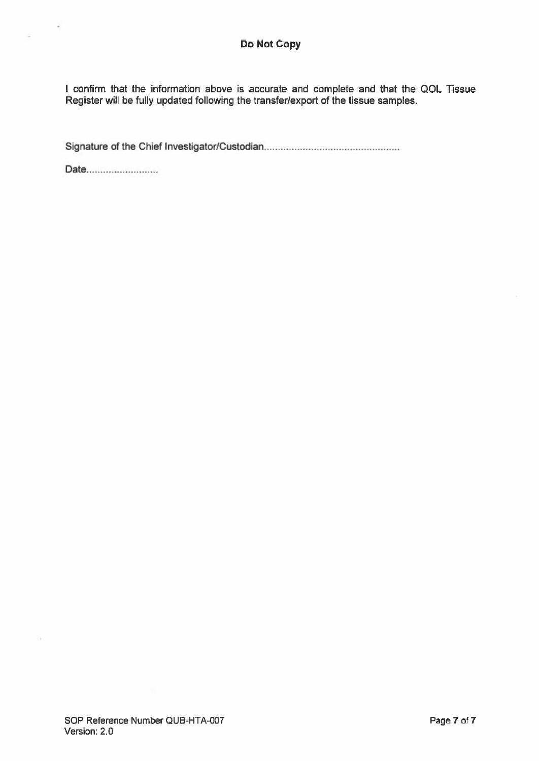I confirm that the information above is accurate and complete and that the QOL Tissue Register will be fully updated following the transfer/export of the tissue samples.

Signature of the Chief Investigator/Custodian

Date..........................

 $\vec{a}$ 

ó,